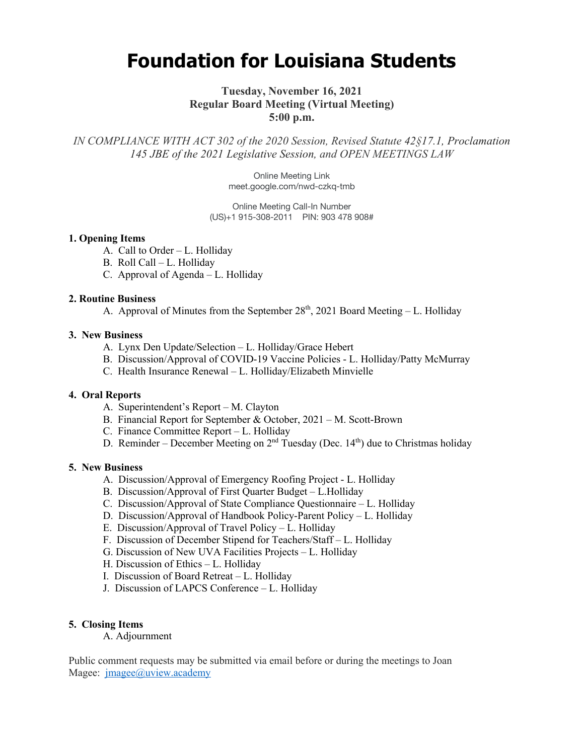# **Foundation for Louisiana Students**

# **Tuesday, November 16, 2021 Regular Board Meeting (Virtual Meeting) 5:00 p.m.**

*IN COMPLIANCE WITH ACT 302 of the 2020 Session, Revised Statute 42§17.1, Proclamation 145 JBE of the 2021 Legislative Session, and OPEN MEETINGS LAW*

> Online Meeting Link meet.google.com/nwd-czkq-tmb

Online Meeting Call-In Number (US)+1 915-308-2011 PIN: 903 478 908#

#### **1. Opening Items**

- A. Call to Order L. Holliday
- B. Roll Call L. Holliday
- C. Approval of Agenda L. Holliday

# **2. Routine Business**

A. Approval of Minutes from the September  $28<sup>th</sup>$ , 2021 Board Meeting – L. Holliday

#### **3. New Business**

- A. Lynx Den Update/Selection L. Holliday/Grace Hebert
- B. Discussion/Approval of COVID-19 Vaccine Policies L. Holliday/Patty McMurray
- C. Health Insurance Renewal L. Holliday/Elizabeth Minvielle

# **4. Oral Reports**

- A. Superintendent's Report M. Clayton
- B. Financial Report for September & October, 2021 M. Scott-Brown
- C. Finance Committee Report L. Holliday
- D. Reminder December Meeting on  $2<sup>nd</sup>$  Tuesday (Dec. 14<sup>th</sup>) due to Christmas holiday

#### **5. New Business**

- A. Discussion/Approval of Emergency Roofing Project L. Holliday
- B. Discussion/Approval of First Quarter Budget L.Holliday
- C. Discussion/Approval of State Compliance Questionnaire L. Holliday
- D. Discussion/Approval of Handbook Policy-Parent Policy L. Holliday
- E. Discussion/Approval of Travel Policy L. Holliday
- F. Discussion of December Stipend for Teachers/Staff L. Holliday
- G. Discussion of New UVA Facilities Projects L. Holliday
- H. Discussion of Ethics L. Holliday
- I. Discussion of Board Retreat L. Holliday
- J. Discussion of LAPCS Conference L. Holliday

# **5. Closing Items**

A. Adjournment

Public comment requests may be submitted via email before or during the meetings to Joan Magee: *jmagee@uview.academy*